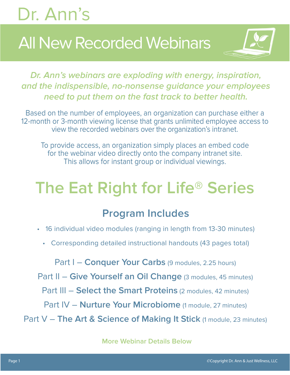## **All New Recorded Webinars**



**Dr. Ann's webinars are exploding with energy, inspiration, and the indispensible, no-nonsense guidance your employees need to put them on the fast track to better health.**

Based on the number of employees, an organization can purchase either a 12-month or 3-month viewing license that grants unlimited employee access to view the recorded webinars over the organization's intranet.

To provide access, an organization simply places an embed code for the webinar video directly onto the company intranet site. This allows for instant group or individual viewings.

## **The Eat Right for Life® Series**

#### **Program Includes**

- 16 individual video modules (ranging in length from 13-30 minutes)
	- Corresponding detailed instructional handouts (43 pages total)

Part I – **Conquer Your Carbs** (9 modules, 2.25 hours)

Part II – Give Yourself an Oil Change (3 modules, 45 minutes)

Part III – **Select the Smart Proteins** (2 modules, 42 minutes)

Part IV – **Nurture Your Microbiome** (1 module, 27 minutes)

Part V - The Art & Science of Making It Stick (1 module, 23 minutes)

**More Webinar Details Below**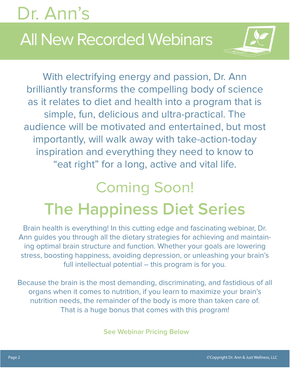# Dr. Ann's All New Recorded Webinars

With electrifying energy and passion, Dr. Ann brilliantly transforms the compelling body of science as it relates to diet and health into a program that is simple, fun, delicious and ultra-practical. The audience will be motivated and entertained, but most importantly, will walk away with take-action-today inspiration and everything they need to know to "eat right" for a long, active and vital life.

## Coming Soon! **The Happiness Diet Series**

Brain health is everything! In this cutting edge and fascinating webinar, Dr. Ann guides you through all the dietary strategies for achieving and maintaining optimal brain structure and function. Whether your goals are lowering stress, boosting happiness, avoiding depression, or unleashing your brain's full intellectual potential – this program is for you.

Because the brain is the most demanding, discriminating, and fastidious of all organs when it comes to nutrition, if you learn to maximize your brain's nutrition needs, the remainder of the body is more than taken care of. That is a huge bonus that comes with this program!

**See Webinar Pricing Below**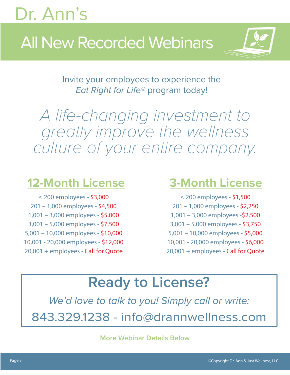## All New Recorded Webinars



Invite your employees to experience the Eat Right for Life<sup>®</sup> program today!

A life-changing investment to greatly improve the wellness culture of your entire company.

#### **12-Month License**

≤ 200 employees - \$3,000 201 – 1,000 employees - \$4,500 1,001 – 3,000 employees - \$5,000 3,001 – 5,000 employees - \$7,500 5,001 – 10,000 employees - \$10,000 10,001 - 20,000 employees - \$12,000 20,001 + employees - Call for Quote

#### **3-Month License**

≤ 200 employees - \$1,500 201 – 1,000 employees - \$2,250 1,001 – 3,000 employees -\$2,500 3,001 – 5,000 employees - \$3,750 5,001 – 10,000 employees - \$5,000 10,001 - 20,000 employees - \$6,000 20,001 + employees - Call for Quote

#### **Ready to License?**

We'd love to talk to you! Simply call or write: 843.329.1238 - info@drannwellness.com

**More Webinar Details Below**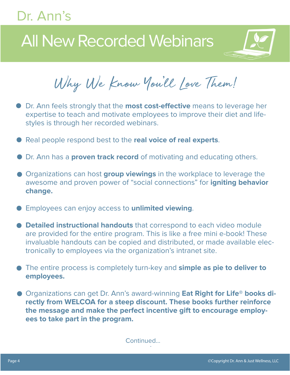## All New Recorded Webinars



Why We Know You'll Love Them!

- Dr. Ann feels strongly that the **most cost-effective** means to leverage her expertise to teach and motivate employees to improve their diet and lifestyles is through her recorded webinars.
- Real people respond best to the **real voice of real experts**.
- **Dr. Ann has a proven track record** of motivating and educating others.
- Organizations can host **group viewings** in the workplace to leverage the awesome and proven power of "social connections" for **igniting behavior change.**
- Employees can enjoy access to **unlimited viewing**.
- **Detailed instructional handouts** that correspond to each video module are provided for the entire program. This is like a free mini e-book! These invaluable handouts can be copied and distributed, or made available electronically to employees via the organization's intranet site.
- The entire process is completely turn-key and **simple as pie to deliver to employees.**
- Organizations can get Dr. Ann's award-winning **Eat Right for Life<sup>®</sup> books directly from WELCOA for a steep discount. These books further reinforce the message and make the perfect incentive gift to encourage employees to take part in the program.**

. Continued...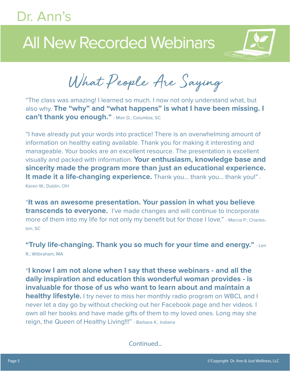## All New Recorded Webinars



What People Are Saying

"The class was amazing! I learned so much. I now not only understand what, but also why. **The "why" and "what happens" is what I have been missing. I can't thank you enough."** - Moir D., Columbia, SC

"I have already put your words into practice! There is an overwhelming amount of information on healthy eating available. Thank you for making it interesting and manageable. Your books are an excellent resource. The presentation is excellent visually and packed with information. **Your enthusiasm, knowledge base and sincerity made the program more than just an educational experience.**  It made it a life-changing experience. Thank you... thank you... thank you!" -Karen W.; Dublin, OH

"**It was an awesome presentation. Your passion in what you believe transcends to everyone.** I've made changes and will continue to incorporate more of them into my life for not only my benefit but for those I love." - Marcia P.; Charleston, SC

**"Truly life-changing. Thank you so much for your time and energy."** - Len R.; Wilbraham, MA

"**I know I am not alone when I say that these webinars - and all the daily inspiration and education this wonderful woman provides - is invaluable for those of us who want to learn about and maintain a healthy lifestyle.** I try never to miss her monthly radio program on WBCL and I never let a day go by without checking out her Facebook page and her videos. I own all her books and have made gifts of them to my loved ones. Long may she reign, the Queen of Healthy Living!!!" - Barbara K., Indiana

Continued...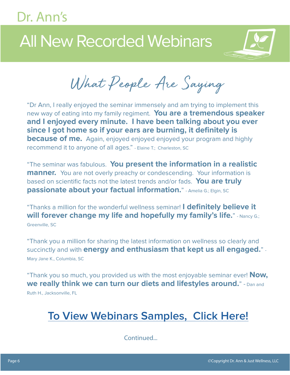## All New Recorded Webinars



What People Are Saying

"Dr Ann, I really enjoyed the seminar immensely and am trying to implement this new way of eating into my family regiment. **You are a tremendous speaker and I enjoyed every minute. I have been talking about you ever since I got home so if your ears are burning, it definitely is because of me.** Again, enjoyed enjoyed enjoyed your program and highly recommend it to anyone of all ages." - Elaine T.; Charleston, SC

"The seminar was fabulous. **You present the information in a realistic manner.** You are not overly preachy or condescending. Your information is based on scientific facts not the latest trends and/or fads. **You are truly passionate about your factual information.**" - Amelia G.; Elgin, SC

"Thanks a million for the wonderful wellness seminar! **I definitely believe it will forever change my life and hopefully my family's life."** - Nancy G.; Greenville, SC

"Thank you a million for sharing the latest information on wellness so clearly and succinctly and with **energy and enthusiasm that kept us all engaged.**" - Mary Jane K., Columbia, SC

"Thank you so much, you provided us with the most enjoyable seminar ever! **Now, we really think we can turn our diets and lifestyles around.**" - Dan and Ruth H., Jacksonville, FL

**To [View Webinars Samples, C](http://drannwellness.com/embed-code-test/)lick Here!**

Continued...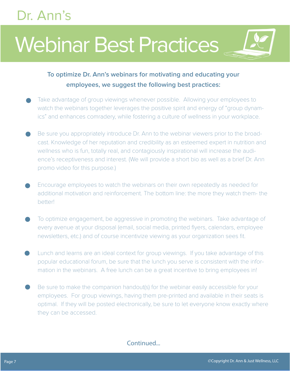# Webinar Best Practices



- Take advantage of group viewings whenever possible. Allowing your employees to watch the webinars together leverages the positive spirit and energy of "group dynamics" and enhances comradery, while fostering a culture of wellness in your workplace.
- Be sure you appropriately introduce Dr. Ann to the webinar viewers prior to the broadcast. Knowledge of her reputation and credibility as an esteemed expert in nutrition and wellness who is fun, totally real, and contagiously inspirational will increase the audience's receptiveness and interest. (We will provide a short bio as well as a brief Dr. Ann promo video for this purpose.)
- Encourage employees to watch the webinars on their own repeatedly as needed for additional motivation and reinforcement. The bottom line: the more they watch them- the better!
- To optimize engagement, be aggressive in promoting the webinars. Take advantage of every avenue at your disposal (email, social media, printed flyers, calendars, employee newsletters, etc.) and of course incentivize viewing as your organization sees fit.
- Lunch and learns are an ideal context for group viewings. If you take advantage of this popular educational forum, be sure that the lunch you serve is consistent with the information in the webinars. A free lunch can be a great incentive to bring employees in!
- Be sure to make the companion handout(s) for the webinar easily accessible for your employees. For group viewings, having them pre-printed and available in their seats is optimal. If they will be posted electronically, be sure to let everyone know exactly where they can be accessed.

#### Continued...